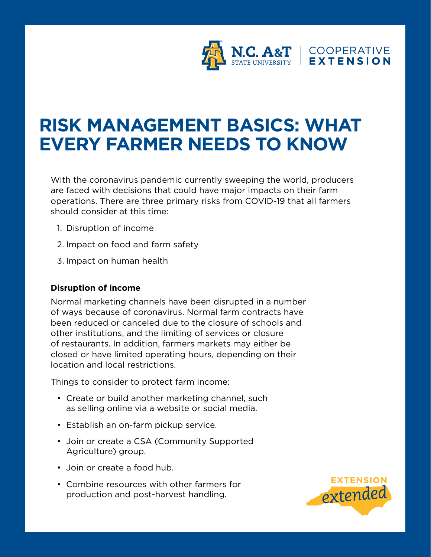

## **RISK MANAGEMENT BASICS: WHAT EVERY FARMER NEEDS TO KNOW**

With the coronavirus pandemic currently sweeping the world, producers are faced with decisions that could have major impacts on their farm operations. There are three primary risks from COVID-19 that all farmers should consider at this time:

- 1. Disruption of income
- 2. Impact on food and farm safety
- 3. Impact on human health

## **Disruption of income**

Normal marketing channels have been disrupted in a number of ways because of coronavirus. Normal farm contracts have been reduced or canceled due to the closure of schools and other institutions, and the limiting of services or closure of restaurants. In addition, farmers markets may either be closed or have limited operating hours, depending on their location and local restrictions.

Things to consider to protect farm income:

- Create or build another marketing channel, such as selling online via a website or social media.
- Establish an on-farm pickup service.
- Join or create a CSA (Community Supported Agriculture) group.
- Join or create a food hub.
- Combine resources with other farmers for production and post-harvest handling.